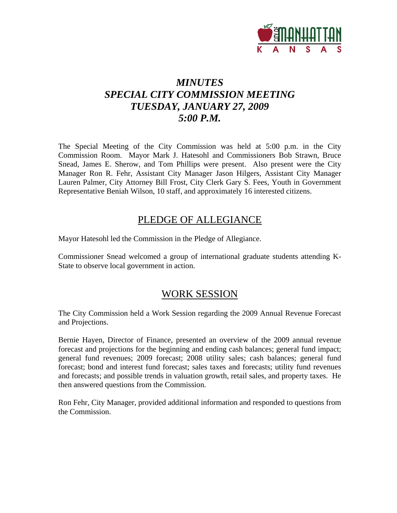

# *MINUTES SPECIAL CITY COMMISSION MEETING TUESDAY, JANUARY 27, 2009 5:00 P.M.*

The Special Meeting of the City Commission was held at 5:00 p.m. in the City Commission Room. Mayor Mark J. Hatesohl and Commissioners Bob Strawn, Bruce Snead, James E. Sherow, and Tom Phillips were present. Also present were the City Manager Ron R. Fehr, Assistant City Manager Jason Hilgers, Assistant City Manager Lauren Palmer, City Attorney Bill Frost, City Clerk Gary S. Fees, Youth in Government Representative Beniah Wilson, 10 staff, and approximately 16 interested citizens.

## PLEDGE OF ALLEGIANCE

Mayor Hatesohl led the Commission in the Pledge of Allegiance.

Commissioner Snead welcomed a group of international graduate students attending K-State to observe local government in action.

### WORK SESSION

The City Commission held a Work Session regarding the 2009 Annual Revenue Forecast and Projections.

Bernie Hayen, Director of Finance, presented an overview of the 2009 annual revenue forecast and projections for the beginning and ending cash balances; general fund impact; general fund revenues; 2009 forecast; 2008 utility sales; cash balances; general fund forecast; bond and interest fund forecast; sales taxes and forecasts; utility fund revenues and forecasts; and possible trends in valuation growth, retail sales, and property taxes. He then answered questions from the Commission.

Ron Fehr, City Manager, provided additional information and responded to questions from the Commission.